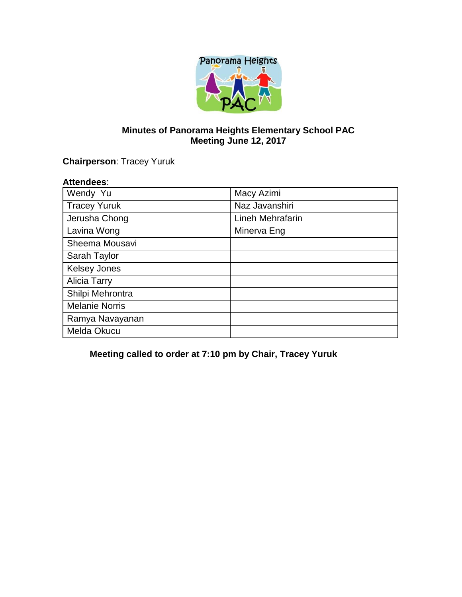

# **Minutes of Panorama Heights Elementary School PAC Meeting June 12, 2017**

**Chairperson**: Tracey Yuruk

#### **Attendees**:

| Wendy Yu              | Macy Azimi       |
|-----------------------|------------------|
| <b>Tracey Yuruk</b>   | Naz Javanshiri   |
| Jerusha Chong         | Lineh Mehrafarin |
| Lavina Wong           | Minerva Eng      |
| Sheema Mousavi        |                  |
| Sarah Taylor          |                  |
| <b>Kelsey Jones</b>   |                  |
| <b>Alicia Tarry</b>   |                  |
| Shilpi Mehrontra      |                  |
| <b>Melanie Norris</b> |                  |
| Ramya Navayanan       |                  |
| Melda Okucu           |                  |

**Meeting called to order at 7:10 pm by Chair, Tracey Yuruk**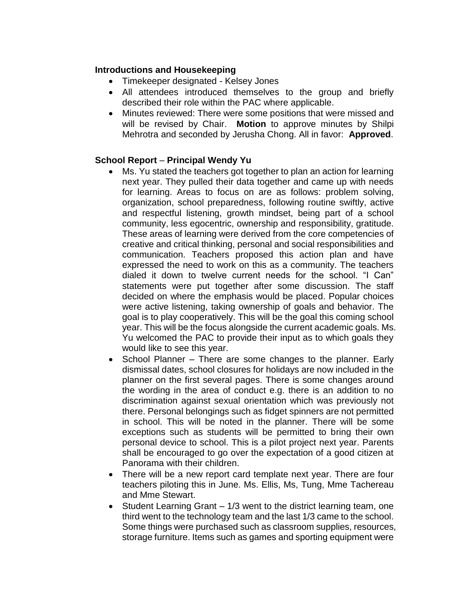### **Introductions and Housekeeping**

- Timekeeper designated Kelsey Jones
- All attendees introduced themselves to the group and briefly described their role within the PAC where applicable.
- Minutes reviewed: There were some positions that were missed and will be revised by Chair. **Motion** to approve minutes by Shilpi Mehrotra and seconded by Jerusha Chong. All in favor: **Approved**.

## **School Report** – **Principal Wendy Yu**

- Ms. Yu stated the teachers got together to plan an action for learning next year. They pulled their data together and came up with needs for learning. Areas to focus on are as follows: problem solving, organization, school preparedness, following routine swiftly, active and respectful listening, growth mindset, being part of a school community, less egocentric, ownership and responsibility, gratitude. These areas of learning were derived from the core competencies of creative and critical thinking, personal and social responsibilities and communication. Teachers proposed this action plan and have expressed the need to work on this as a community. The teachers dialed it down to twelve current needs for the school. "I Can" statements were put together after some discussion. The staff decided on where the emphasis would be placed. Popular choices were active listening, taking ownership of goals and behavior. The goal is to play cooperatively. This will be the goal this coming school year. This will be the focus alongside the current academic goals. Ms. Yu welcomed the PAC to provide their input as to which goals they would like to see this year.
- School Planner There are some changes to the planner. Early dismissal dates, school closures for holidays are now included in the planner on the first several pages. There is some changes around the wording in the area of conduct e.g. there is an addition to no discrimination against sexual orientation which was previously not there. Personal belongings such as fidget spinners are not permitted in school. This will be noted in the planner. There will be some exceptions such as students will be permitted to bring their own personal device to school. This is a pilot project next year. Parents shall be encouraged to go over the expectation of a good citizen at Panorama with their children.
- There will be a new report card template next year. There are four teachers piloting this in June. Ms. Ellis, Ms, Tung, Mme Tachereau and Mme Stewart.
- Student Learning Grant 1/3 went to the district learning team, one third went to the technology team and the last 1/3 came to the school. Some things were purchased such as classroom supplies, resources, storage furniture. Items such as games and sporting equipment were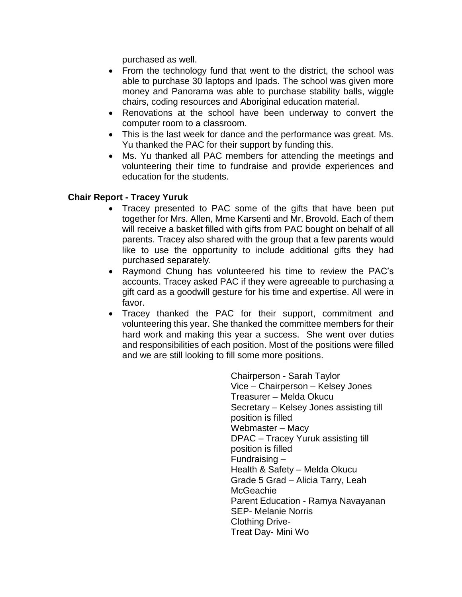purchased as well.

- From the technology fund that went to the district, the school was able to purchase 30 laptops and Ipads. The school was given more money and Panorama was able to purchase stability balls, wiggle chairs, coding resources and Aboriginal education material.
- Renovations at the school have been underway to convert the computer room to a classroom.
- This is the last week for dance and the performance was great. Ms. Yu thanked the PAC for their support by funding this.
- Ms. Yu thanked all PAC members for attending the meetings and volunteering their time to fundraise and provide experiences and education for the students.

#### **Chair Report - Tracey Yuruk**

- Tracey presented to PAC some of the gifts that have been put together for Mrs. Allen, Mme Karsenti and Mr. Brovold. Each of them will receive a basket filled with gifts from PAC bought on behalf of all parents. Tracey also shared with the group that a few parents would like to use the opportunity to include additional gifts they had purchased separately.
- Raymond Chung has volunteered his time to review the PAC's accounts. Tracey asked PAC if they were agreeable to purchasing a gift card as a goodwill gesture for his time and expertise. All were in favor.
- Tracey thanked the PAC for their support, commitment and volunteering this year. She thanked the committee members for their hard work and making this year a success. She went over duties and responsibilities of each position. Most of the positions were filled and we are still looking to fill some more positions.

Chairperson - Sarah Taylor Vice – Chairperson – Kelsey Jones Treasurer – Melda Okucu Secretary – Kelsey Jones assisting till position is filled Webmaster – Macy DPAC – Tracey Yuruk assisting till position is filled Fundraising – Health & Safety – Melda Okucu Grade 5 Grad – Alicia Tarry, Leah **McGeachie** Parent Education - Ramya Navayanan SEP- Melanie Norris Clothing Drive-Treat Day- Mini Wo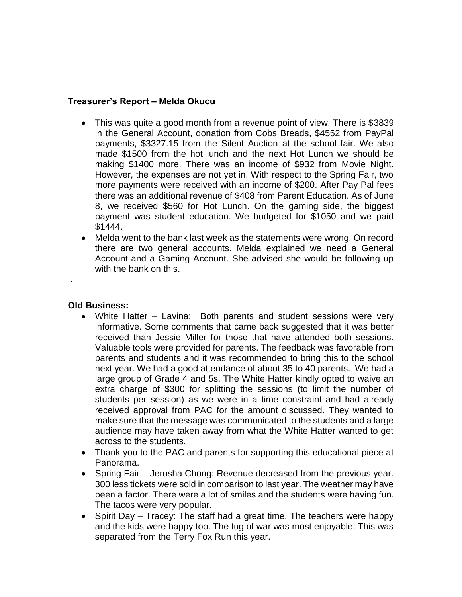### **Treasurer's Report – Melda Okucu**

- This was quite a good month from a revenue point of view. There is \$3839 in the General Account, donation from Cobs Breads, \$4552 from PayPal payments, \$3327.15 from the Silent Auction at the school fair. We also made \$1500 from the hot lunch and the next Hot Lunch we should be making \$1400 more. There was an income of \$932 from Movie Night. However, the expenses are not yet in. With respect to the Spring Fair, two more payments were received with an income of \$200. After Pay Pal fees there was an additional revenue of \$408 from Parent Education. As of June 8, we received \$560 for Hot Lunch. On the gaming side, the biggest payment was student education. We budgeted for \$1050 and we paid \$1444.
- Melda went to the bank last week as the statements were wrong. On record there are two general accounts. Melda explained we need a General Account and a Gaming Account. She advised she would be following up with the bank on this.

#### **Old Business:**

.

- White Hatter Lavina: Both parents and student sessions were very informative. Some comments that came back suggested that it was better received than Jessie Miller for those that have attended both sessions. Valuable tools were provided for parents. The feedback was favorable from parents and students and it was recommended to bring this to the school next year. We had a good attendance of about 35 to 40 parents. We had a large group of Grade 4 and 5s. The White Hatter kindly opted to waive an extra charge of \$300 for splitting the sessions (to limit the number of students per session) as we were in a time constraint and had already received approval from PAC for the amount discussed. They wanted to make sure that the message was communicated to the students and a large audience may have taken away from what the White Hatter wanted to get across to the students.
- Thank you to the PAC and parents for supporting this educational piece at Panorama.
- Spring Fair Jerusha Chong: Revenue decreased from the previous year. 300 less tickets were sold in comparison to last year. The weather may have been a factor. There were a lot of smiles and the students were having fun. The tacos were very popular.
- Spirit Day Tracey: The staff had a great time. The teachers were happy and the kids were happy too. The tug of war was most enjoyable. This was separated from the Terry Fox Run this year.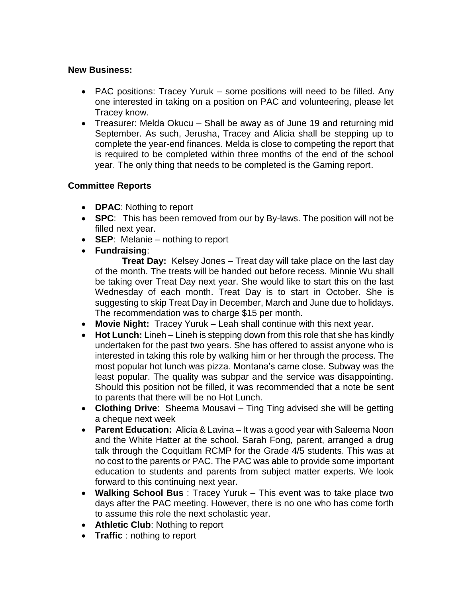### **New Business:**

- PAC positions: Tracey Yuruk some positions will need to be filled. Any one interested in taking on a position on PAC and volunteering, please let Tracey know.
- Treasurer: Melda Okucu Shall be away as of June 19 and returning mid September. As such, Jerusha, Tracey and Alicia shall be stepping up to complete the year-end finances. Melda is close to competing the report that is required to be completed within three months of the end of the school year. The only thing that needs to be completed is the Gaming report.

## **Committee Reports**

- **DPAC**: Nothing to report
- **SPC**: This has been removed from our by By-laws. The position will not be filled next year.
- **SEP**: Melanie nothing to report
- **Fundraising**:

**Treat Day:** Kelsey Jones – Treat day will take place on the last day of the month. The treats will be handed out before recess. Minnie Wu shall be taking over Treat Day next year. She would like to start this on the last Wednesday of each month. Treat Day is to start in October. She is suggesting to skip Treat Day in December, March and June due to holidays. The recommendation was to charge \$15 per month.

- **Movie Night:** Tracey Yuruk Leah shall continue with this next year.
- **Hot Lunch:** Lineh Lineh is stepping down from this role that she has kindly undertaken for the past two years. She has offered to assist anyone who is interested in taking this role by walking him or her through the process. The most popular hot lunch was pizza. Montana's came close. Subway was the least popular. The quality was subpar and the service was disappointing. Should this position not be filled, it was recommended that a note be sent to parents that there will be no Hot Lunch.
- **Clothing Drive**: Sheema Mousavi Ting Ting advised she will be getting a cheque next week
- **Parent Education:** Alicia & Lavina It was a good year with Saleema Noon and the White Hatter at the school. Sarah Fong, parent, arranged a drug talk through the Coquitlam RCMP for the Grade 4/5 students. This was at no cost to the parents or PAC. The PAC was able to provide some important education to students and parents from subject matter experts. We look forward to this continuing next year.
- **Walking School Bus** : Tracey Yuruk This event was to take place two days after the PAC meeting. However, there is no one who has come forth to assume this role the next scholastic year.
- **Athletic Club**: Nothing to report
- **Traffic** : nothing to report